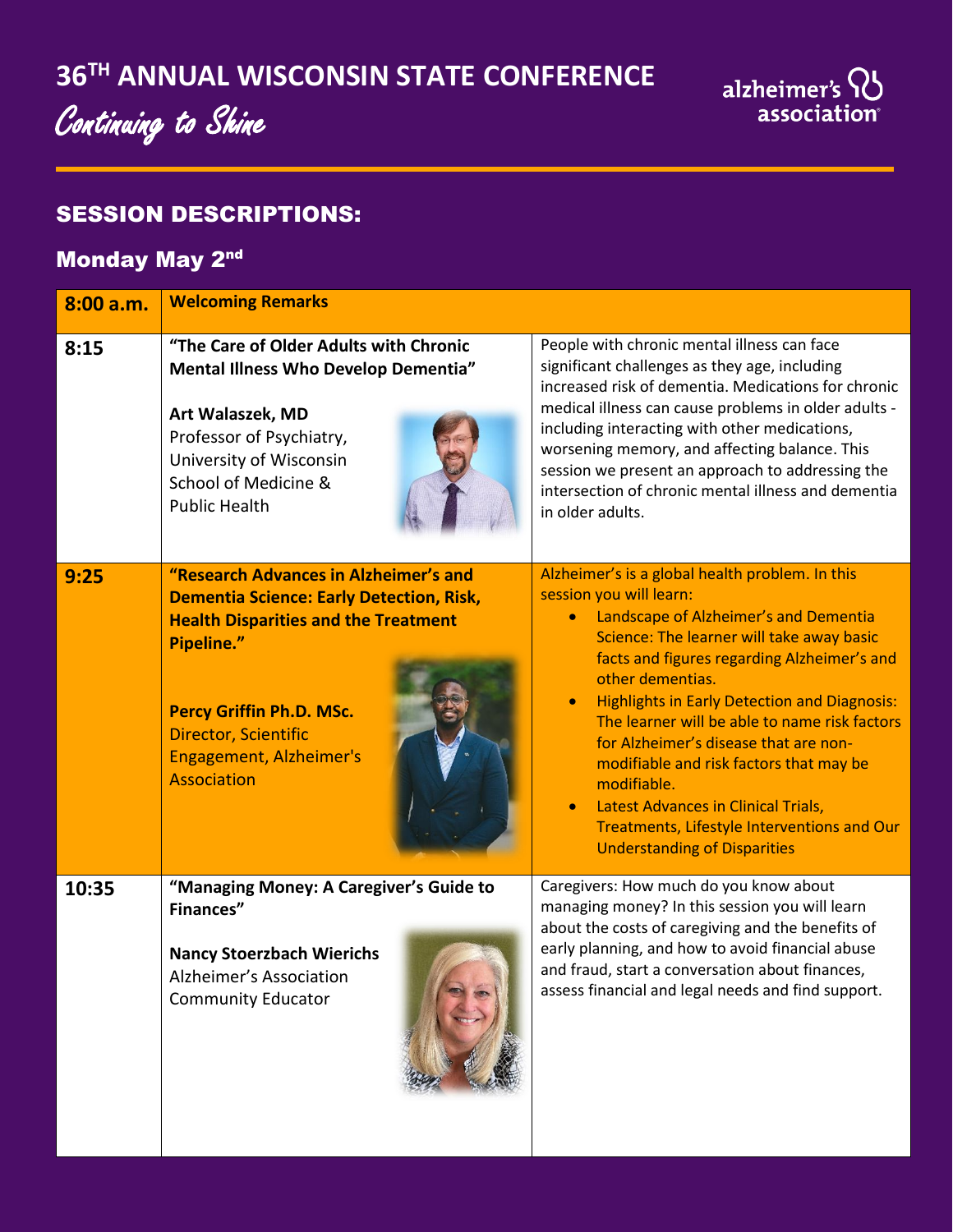# Continuing to Shine

# alzheimer's QJ<br>association

#### SESSION DESCRIPTIONS:

## Monday May 2nd

| 8:00 a.m. | <b>Welcoming Remarks</b>                                                                                                                                                                                                                                          |                                                                                                                                                                                                                                                                                                                                                                                                                                                                                                                                                                                                              |  |  |  |  |
|-----------|-------------------------------------------------------------------------------------------------------------------------------------------------------------------------------------------------------------------------------------------------------------------|--------------------------------------------------------------------------------------------------------------------------------------------------------------------------------------------------------------------------------------------------------------------------------------------------------------------------------------------------------------------------------------------------------------------------------------------------------------------------------------------------------------------------------------------------------------------------------------------------------------|--|--|--|--|
| 8:15      | "The Care of Older Adults with Chronic<br>Mental Illness Who Develop Dementia"<br>Art Walaszek, MD<br>Professor of Psychiatry,<br>University of Wisconsin<br>School of Medicine &<br><b>Public Health</b>                                                         | People with chronic mental illness can face<br>significant challenges as they age, including<br>increased risk of dementia. Medications for chronic<br>medical illness can cause problems in older adults -<br>including interacting with other medications,<br>worsening memory, and affecting balance. This<br>session we present an approach to addressing the<br>intersection of chronic mental illness and dementia<br>in older adults.                                                                                                                                                                 |  |  |  |  |
| 9:25      | "Research Advances in Alzheimer's and<br><b>Dementia Science: Early Detection, Risk,</b><br><b>Health Disparities and the Treatment</b><br>Pipeline."<br><b>Percy Griffin Ph.D. MSc.</b><br>Director, Scientific<br><b>Engagement, Alzheimer's</b><br>Association | Alzheimer's is a global health problem. In this<br>session you will learn:<br>Landscape of Alzheimer's and Dementia<br>Science: The learner will take away basic<br>facts and figures regarding Alzheimer's and<br>other dementias.<br><b>Highlights in Early Detection and Diagnosis:</b><br>$\bullet$<br>The learner will be able to name risk factors<br>for Alzheimer's disease that are non-<br>modifiable and risk factors that may be<br>modifiable.<br><b>Latest Advances in Clinical Trials,</b><br>$\bullet$<br>Treatments, Lifestyle Interventions and Our<br><b>Understanding of Disparities</b> |  |  |  |  |
| 10:35     | "Managing Money: A Caregiver's Guide to<br><b>Finances"</b><br><b>Nancy Stoerzbach Wierichs</b><br>Alzheimer's Association<br><b>Community Educator</b>                                                                                                           | Caregivers: How much do you know about<br>managing money? In this session you will learn<br>about the costs of caregiving and the benefits of<br>early planning, and how to avoid financial abuse<br>and fraud, start a conversation about finances,<br>assess financial and legal needs and find support.                                                                                                                                                                                                                                                                                                   |  |  |  |  |